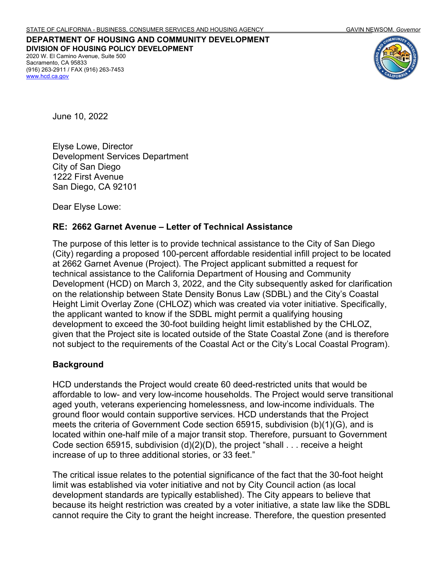**DEPARTMENT OF HOUSING AND COMMUNITY DEVELOPMENT DIVISION OF HOUSING POLICY DEVELOPMENT** 2020 W. El Camino Avenue, Suite 500 Sacramento, CA 95833 (916) 263-2911 / FAX (916) 263-7453 www.hcd.ca.gov



June 10, 2022

Elyse Lowe, Director Development Services Department City of San Diego 1222 First Avenue San Diego, CA 92101

Dear Elyse Lowe:

#### **RE: 2662 Garnet Avenue – Letter of Technical Assistance**

The purpose of this letter is to provide technical assistance to the City of San Diego (City) regarding a proposed 100-percent affordable residential infill project to be located at 2662 Garnet Avenue (Project). The Project applicant submitted a request for technical assistance to the California Department of Housing and Community Development (HCD) on March 3, 2022, and the City subsequently asked for clarification on the relationship between State Density Bonus Law (SDBL) and the City's Coastal Height Limit Overlay Zone (CHLOZ) which was created via voter initiative. Specifically, the applicant wanted to know if the SDBL might permit a qualifying housing development to exceed the 30-foot building height limit established by the CHLOZ, given that the Project site is located outside of the State Coastal Zone (and is therefore not subject to the requirements of the Coastal Act or the City's Local Coastal Program).

#### **Background**

HCD understands the Project would create 60 deed-restricted units that would be affordable to low- and very low-income households. The Project would serve transitional aged youth, veterans experiencing homelessness, and low-income individuals. The ground floor would contain supportive services. HCD understands that the Project meets the criteria of Government Code section 65915, subdivision (b)(1)(G), and is located within one-half mile of a major transit stop. Therefore, pursuant to Government Code section 65915, subdivision (d)(2)(D), the project "shall . . . receive a height increase of up to three additional stories, or 33 feet."

The critical issue relates to the potential significance of the fact that the 30-foot height limit was established via voter initiative and not by City Council action (as local development standards are typically established). The City appears to believe that because its height restriction was created by a voter initiative, a state law like the SDBL cannot require the City to grant the height increase. Therefore, the question presented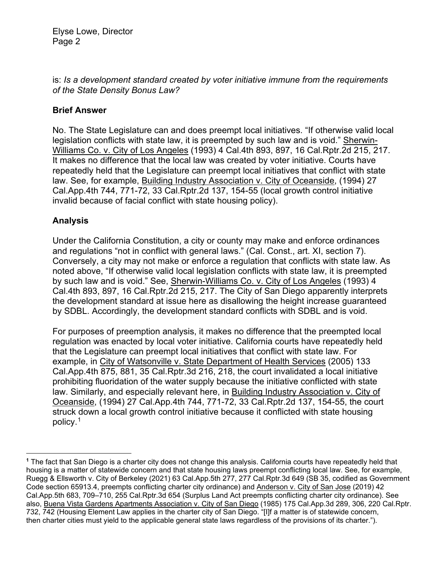## is: *Is a development standard created by voter initiative immune from the requirements of the State Density Bonus Law?*

# **Brief Answer**

No. The State Legislature can and does preempt local initiatives. "If otherwise valid local legislation conflicts with state law, it is preempted by such law and is void." Sherwin-Williams Co. v. City of Los Angeles (1993) 4 Cal.4th 893, 897, 16 Cal.Rptr.2d 215, 217. It makes no difference that the local law was created by voter initiative. Courts have repeatedly held that the Legislature can preempt local initiatives that conflict with state law. See, for example, Building Industry Association v. City of Oceanside, (1994) 27 Cal.App.4th 744, 771-72, 33 Cal.Rptr.2d 137, 154-55 (local growth control initiative invalid because of facial conflict with state housing policy).

# **Analysis**

Under the California Constitution, a city or county may make and enforce ordinances and regulations "not in conflict with general laws." (Cal. Const., art. XI, section 7). Conversely, a city may not make or enforce a regulation that conflicts with state law. As noted above, "If otherwise valid local legislation conflicts with state law, it is preempted by such law and is void." See, Sherwin-Williams Co. v. City of Los Angeles (1993) 4 Cal.4th 893, 897, 16 Cal.Rptr.2d 215, 217. The City of San Diego apparently interprets the development standard at issue here as disallowing the height increase guaranteed by SDBL. Accordingly, the development standard conflicts with SDBL and is void.

For purposes of preemption analysis, it makes no difference that the preempted local regulation was enacted by local voter initiative. California courts have repeatedly held that the Legislature can preempt local initiatives that conflict with state law. For example, in City of Watsonville v. State Department of Health Services (2005) 133 Cal.App.4th 875, 881, 35 Cal.Rptr.3d 216, 218, the court invalidated a local initiative prohibiting fluoridation of the water supply because the initiative conflicted with state law. Similarly, and especially relevant here, in Building Industry Association v. City of Oceanside, (1994) 27 Cal.App.4th 744, 771-72, 33 Cal.Rptr.2d 137, 154-55, the court struck down a local growth control initiative because it conflicted with state housing policy.[1](#page-1-0)

<span id="page-1-0"></span>**<sup>1</sup>** The fact that San Diego is a charter city does not change this analysis. California courts have repeatedly held that housing is a matter of statewide concern and that state housing laws preempt conflicting local law. See, for example, [Ruegg & Ellsworth v. City of Berkeley](https://1.next.westlaw.com/Document/I2e327470a23f11ebb59191cef82ec18e/View/FullText.html?listSource=Search&navigationPath=Search%2fv1%2fresults%2fnavigation%2fi0ad604ab000001814b1319c0a85768ce%3fppcid%3d8e79f6ac8a7748b8adaf43edcae04070%26Nav%3dCASE%26fragmentIdentifier%3dI2e327470a23f11ebb59191cef82ec18e%26parentRank%3d0%26startIndex%3d1%26contextData%3d%2528sc.Search%2529%26transitionType%3dSearchItem&list=CASE&rank=2&listPageSource=3d4bea4268967e9abeb426e43a5c0828&originationContext=docHeader&contextData=(sc.DocLink)&transitionType=Document&needToInjectTerms=False&enableBestPortion=True&docSource=1d9add1b77974dcf90191c5f4b61caed&ppcid=8c8265829337449290ed6f23f4801043) (2021) 63 Cal.App.5th 277, 277 Cal.Rptr.3d 649 (SB 35, codified as Government Code section 65913.4, preempts conflicting charter city ordinance) and [Anderson v. City of San Jose](https://1.next.westlaw.com/Link/Document/FullText?findType=Y&serNum=2049700158&pubNum=0007053&originatingDoc=I2e327470a23f11ebb59191cef82ec18e&refType=RP&fi=co_pp_sp_7053_709&originationContext=document&transitionType=DocumentItem&ppcid=8c8265829337449290ed6f23f4801043&contextData=(sc.DocLink)#co_pp_sp_7053_709) (2019) 42 [Cal.App.5th 683, 709–710, 255 Cal.Rptr.3d 654](https://1.next.westlaw.com/Link/Document/FullText?findType=Y&serNum=2049700158&pubNum=0007053&originatingDoc=I2e327470a23f11ebb59191cef82ec18e&refType=RP&fi=co_pp_sp_7053_709&originationContext=document&transitionType=DocumentItem&ppcid=8c8265829337449290ed6f23f4801043&contextData=(sc.DocLink)#co_pp_sp_7053_709) (Surplus Land Act preempts conflicting charter city ordinance). See also, Buena Vista Gardens Apartments Association v. City of San Diego (1985) 175 Cal.App.3d 289, 306, 220 Cal.Rptr. 732, 742 (Housing Element Law applies in the charter city of San Diego. "[I]f a matter is of statewide concern, then charter cities must yield to the applicable general state laws regardless of the provisions of its charter.").